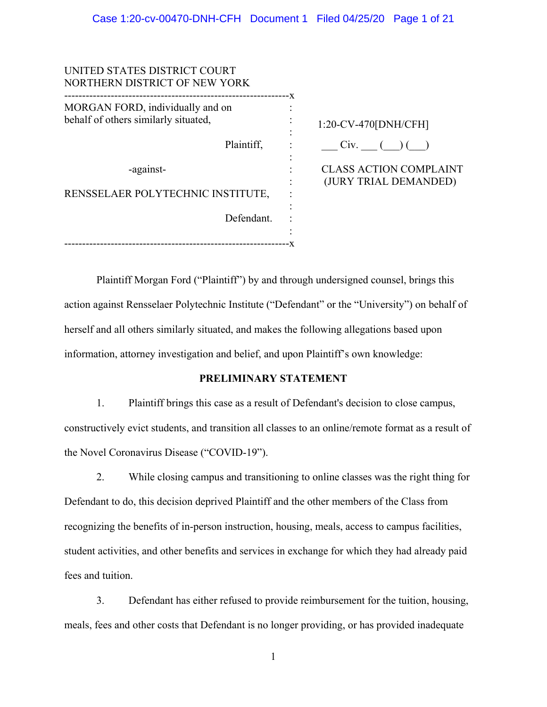| UNITED STATES DISTRICT COURT<br>NORTHERN DISTRICT OF NEW YORK            |                                                        |
|--------------------------------------------------------------------------|--------------------------------------------------------|
| MORGAN FORD, individually and on<br>behalf of others similarly situated, | - X<br>1:20-CV-470[DNH/CFH]                            |
| Plaintiff,                                                               | Civ.                                                   |
| -against-                                                                | <b>CLASS ACTION COMPLAINT</b><br>(JURY TRIAL DEMANDED) |
| RENSSELAER POLYTECHNIC INSTITUTE,                                        |                                                        |
| Defendant.                                                               |                                                        |
|                                                                          |                                                        |

Plaintiff Morgan Ford ("Plaintiff") by and through undersigned counsel, brings this action against Rensselaer Polytechnic Institute ("Defendant" or the "University") on behalf of herself and all others similarly situated, and makes the following allegations based upon information, attorney investigation and belief, and upon Plaintiff's own knowledge:

# **PRELIMINARY STATEMENT**

1. Plaintiff brings this case as a result of Defendant's decision to close campus, constructively evict students, and transition all classes to an online/remote format as a result of the Novel Coronavirus Disease ("COVID-19").

2. While closing campus and transitioning to online classes was the right thing for Defendant to do, this decision deprived Plaintiff and the other members of the Class from recognizing the benefits of in-person instruction, housing, meals, access to campus facilities, student activities, and other benefits and services in exchange for which they had already paid fees and tuition.

3. Defendant has either refused to provide reimbursement for the tuition, housing, meals, fees and other costs that Defendant is no longer providing, or has provided inadequate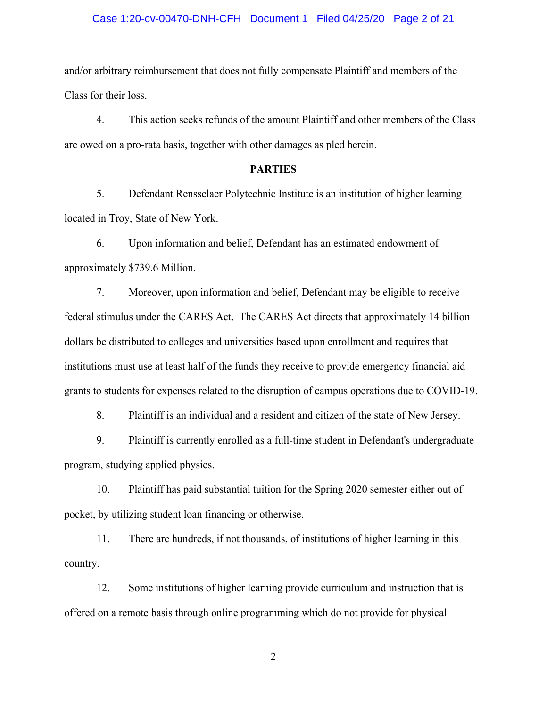# Case 1:20-cv-00470-DNH-CFH Document 1 Filed 04/25/20 Page 2 of 21

and/or arbitrary reimbursement that does not fully compensate Plaintiff and members of the Class for their loss.

4. This action seeks refunds of the amount Plaintiff and other members of the Class are owed on a pro-rata basis, together with other damages as pled herein.

# **PARTIES**

5. Defendant Rensselaer Polytechnic Institute is an institution of higher learning located in Troy, State of New York.

6. Upon information and belief, Defendant has an estimated endowment of approximately \$739.6 Million.

7. Moreover, upon information and belief, Defendant may be eligible to receive federal stimulus under the CARES Act. The CARES Act directs that approximately 14 billion dollars be distributed to colleges and universities based upon enrollment and requires that institutions must use at least half of the funds they receive to provide emergency financial aid grants to students for expenses related to the disruption of campus operations due to COVID-19.

8. Plaintiff is an individual and a resident and citizen of the state of New Jersey.

9. Plaintiff is currently enrolled as a full-time student in Defendant's undergraduate program, studying applied physics.

10. Plaintiff has paid substantial tuition for the Spring 2020 semester either out of pocket, by utilizing student loan financing or otherwise.

11. There are hundreds, if not thousands, of institutions of higher learning in this country.

12. Some institutions of higher learning provide curriculum and instruction that is offered on a remote basis through online programming which do not provide for physical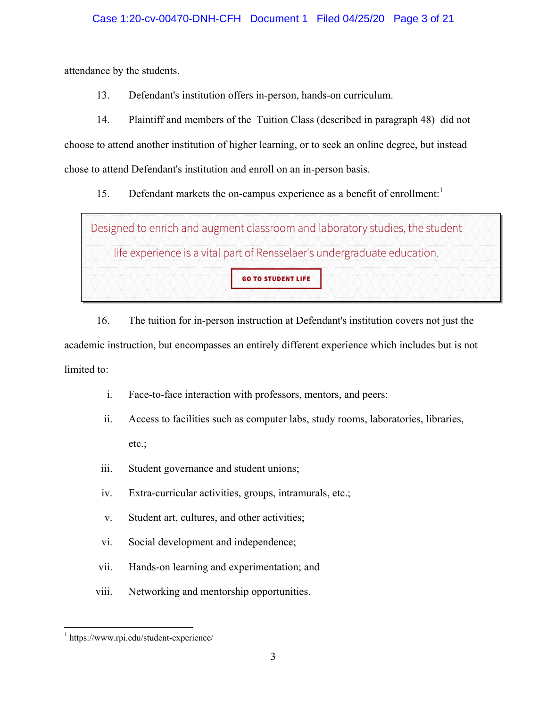attendance by the students.

13. Defendant's institution offers in-person, hands-on curriculum.

14. Plaintiff and members of the Tuition Class (described in paragraph 48) did not choose to attend another institution of higher learning, or to seek an online degree, but instead chose to attend Defendant's institution and enroll on an in-person basis.

15. Defendant markets the on-campus experience as a benefit of enrollment:<sup>1</sup>

Designed to enrich and augment classroom and laboratory studies, the student life experience is a vital part of Rensselaer's undergraduate education. **GO TO STUDENT LIFE** 

16. The tuition for in-person instruction at Defendant's institution covers not just the academic instruction, but encompasses an entirely different experience which includes but is not limited to:

- i. Face-to-face interaction with professors, mentors, and peers;
- ii. Access to facilities such as computer labs, study rooms, laboratories, libraries, etc.;
- iii. Student governance and student unions;
- iv. Extra-curricular activities, groups, intramurals, etc.;
- v. Student art, cultures, and other activities;
- vi. Social development and independence;
- vii. Hands-on learning and experimentation; and
- viii. Networking and mentorship opportunities.

<sup>&</sup>lt;u>.</u> 1 https://www.rpi.edu/student-experience/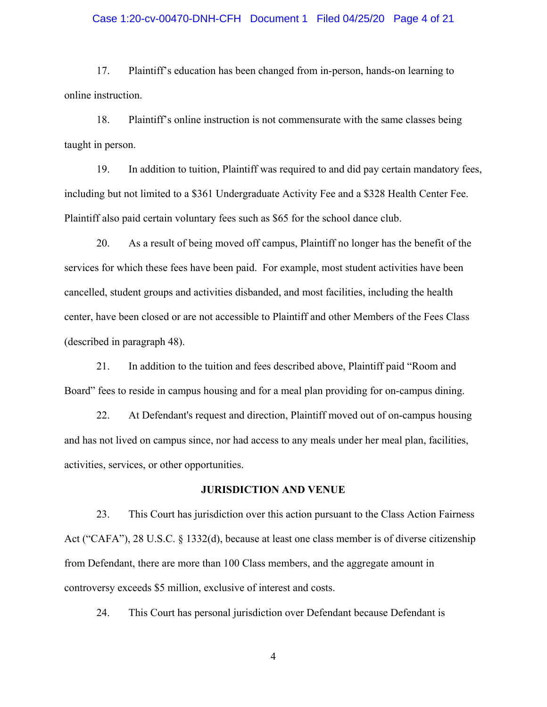#### Case 1:20-cv-00470-DNH-CFH Document 1 Filed 04/25/20 Page 4 of 21

17. Plaintiff's education has been changed from in-person, hands-on learning to online instruction.

18. Plaintiff's online instruction is not commensurate with the same classes being taught in person.

19. In addition to tuition, Plaintiff was required to and did pay certain mandatory fees, including but not limited to a \$361 Undergraduate Activity Fee and a \$328 Health Center Fee. Plaintiff also paid certain voluntary fees such as \$65 for the school dance club.

20. As a result of being moved off campus, Plaintiff no longer has the benefit of the services for which these fees have been paid. For example, most student activities have been cancelled, student groups and activities disbanded, and most facilities, including the health center, have been closed or are not accessible to Plaintiff and other Members of the Fees Class (described in paragraph 48).

21. In addition to the tuition and fees described above, Plaintiff paid "Room and Board" fees to reside in campus housing and for a meal plan providing for on-campus dining.

22. At Defendant's request and direction, Plaintiff moved out of on-campus housing and has not lived on campus since, nor had access to any meals under her meal plan, facilities, activities, services, or other opportunities.

#### **JURISDICTION AND VENUE**

23. This Court has jurisdiction over this action pursuant to the Class Action Fairness Act ("CAFA"), 28 U.S.C. § 1332(d), because at least one class member is of diverse citizenship from Defendant, there are more than 100 Class members, and the aggregate amount in controversy exceeds \$5 million, exclusive of interest and costs.

24. This Court has personal jurisdiction over Defendant because Defendant is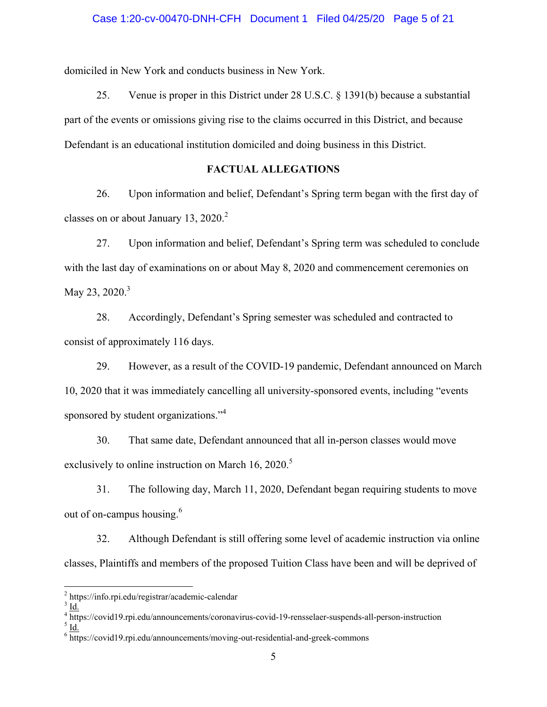# Case 1:20-cv-00470-DNH-CFH Document 1 Filed 04/25/20 Page 5 of 21

domiciled in New York and conducts business in New York.

25. Venue is proper in this District under 28 U.S.C. § 1391(b) because a substantial part of the events or omissions giving rise to the claims occurred in this District, and because Defendant is an educational institution domiciled and doing business in this District.

# **FACTUAL ALLEGATIONS**

26. Upon information and belief, Defendant's Spring term began with the first day of classes on or about January 13, 2020.<sup>2</sup>

27. Upon information and belief, Defendant's Spring term was scheduled to conclude with the last day of examinations on or about May 8, 2020 and commencement ceremonies on May 23, 2020.<sup>3</sup>

28. Accordingly, Defendant's Spring semester was scheduled and contracted to consist of approximately 116 days.

29. However, as a result of the COVID-19 pandemic, Defendant announced on March 10, 2020 that it was immediately cancelling all university-sponsored events, including "events sponsored by student organizations."<sup>4</sup>

30. That same date, Defendant announced that all in-person classes would move exclusively to online instruction on March  $16$ ,  $2020$ .<sup>5</sup>

31. The following day, March 11, 2020, Defendant began requiring students to move out of on-campus housing.<sup>6</sup>

32. Although Defendant is still offering some level of academic instruction via online classes, Plaintiffs and members of the proposed Tuition Class have been and will be deprived of

 $\overline{a}$ 

<sup>&</sup>lt;sup>2</sup> https://info.rpi.edu/registrar/academic-calendar  $\frac{3}{3}$  Id

 $3 \underline{\text{Id}}$ .

<sup>&</sup>lt;sup>4</sup> https://covid19.rpi.edu/announcements/coronavirus-covid-19-rensselaer-suspends-all-person-instruction  $\frac{5}{14}$ 

 $<sup>5</sup>$  Id.</sup>

 $6 \frac{\text{https://covid19.rpi.edu/announcements/moving-out-residental-and-greek-commons}}$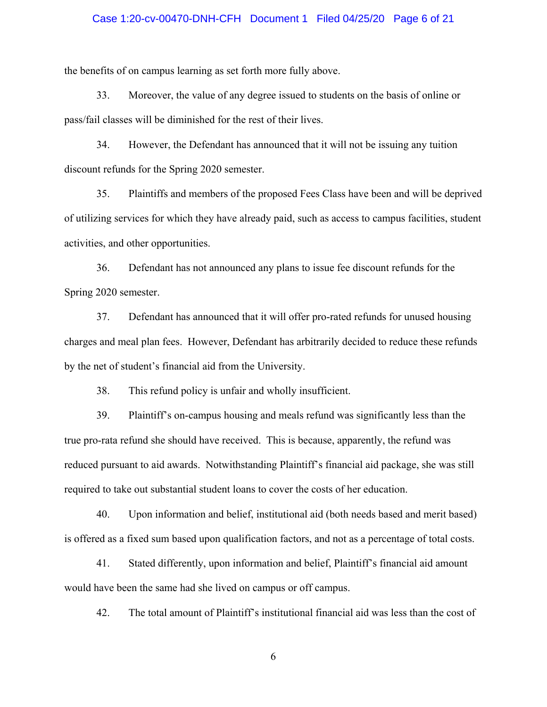# Case 1:20-cv-00470-DNH-CFH Document 1 Filed 04/25/20 Page 6 of 21

the benefits of on campus learning as set forth more fully above.

33. Moreover, the value of any degree issued to students on the basis of online or pass/fail classes will be diminished for the rest of their lives.

34. However, the Defendant has announced that it will not be issuing any tuition discount refunds for the Spring 2020 semester.

35. Plaintiffs and members of the proposed Fees Class have been and will be deprived of utilizing services for which they have already paid, such as access to campus facilities, student activities, and other opportunities.

36. Defendant has not announced any plans to issue fee discount refunds for the Spring 2020 semester.

37. Defendant has announced that it will offer pro-rated refunds for unused housing charges and meal plan fees. However, Defendant has arbitrarily decided to reduce these refunds by the net of student's financial aid from the University.

38. This refund policy is unfair and wholly insufficient.

39. Plaintiff's on-campus housing and meals refund was significantly less than the true pro-rata refund she should have received. This is because, apparently, the refund was reduced pursuant to aid awards. Notwithstanding Plaintiff's financial aid package, she was still required to take out substantial student loans to cover the costs of her education.

40. Upon information and belief, institutional aid (both needs based and merit based) is offered as a fixed sum based upon qualification factors, and not as a percentage of total costs.

41. Stated differently, upon information and belief, Plaintiff's financial aid amount would have been the same had she lived on campus or off campus.

42. The total amount of Plaintiff's institutional financial aid was less than the cost of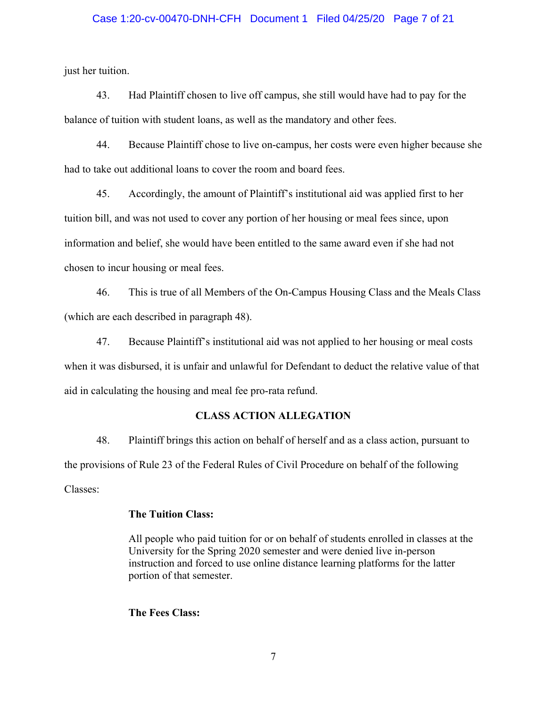#### Case 1:20-cv-00470-DNH-CFH Document 1 Filed 04/25/20 Page 7 of 21

just her tuition.

43. Had Plaintiff chosen to live off campus, she still would have had to pay for the balance of tuition with student loans, as well as the mandatory and other fees.

44. Because Plaintiff chose to live on-campus, her costs were even higher because she had to take out additional loans to cover the room and board fees.

45. Accordingly, the amount of Plaintiff's institutional aid was applied first to her tuition bill, and was not used to cover any portion of her housing or meal fees since, upon information and belief, she would have been entitled to the same award even if she had not chosen to incur housing or meal fees.

46. This is true of all Members of the On-Campus Housing Class and the Meals Class (which are each described in paragraph 48).

47. Because Plaintiff's institutional aid was not applied to her housing or meal costs when it was disbursed, it is unfair and unlawful for Defendant to deduct the relative value of that aid in calculating the housing and meal fee pro-rata refund.

#### **CLASS ACTION ALLEGATION**

48. Plaintiff brings this action on behalf of herself and as a class action, pursuant to the provisions of Rule 23 of the Federal Rules of Civil Procedure on behalf of the following Classes:

#### **The Tuition Class:**

All people who paid tuition for or on behalf of students enrolled in classes at the University for the Spring 2020 semester and were denied live in-person instruction and forced to use online distance learning platforms for the latter portion of that semester.

#### **The Fees Class:**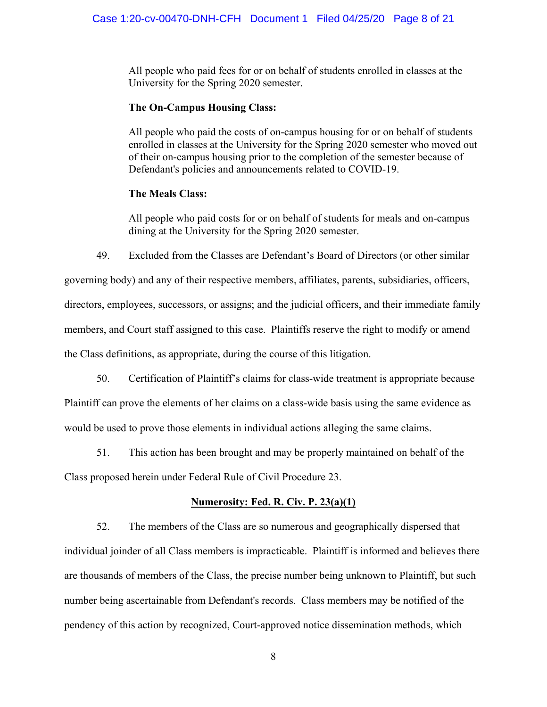All people who paid fees for or on behalf of students enrolled in classes at the University for the Spring 2020 semester.

# **The On-Campus Housing Class:**

All people who paid the costs of on-campus housing for or on behalf of students enrolled in classes at the University for the Spring 2020 semester who moved out of their on-campus housing prior to the completion of the semester because of Defendant's policies and announcements related to COVID-19.

#### **The Meals Class:**

All people who paid costs for or on behalf of students for meals and on-campus dining at the University for the Spring 2020 semester.

49. Excluded from the Classes are Defendant's Board of Directors (or other similar

governing body) and any of their respective members, affiliates, parents, subsidiaries, officers, directors, employees, successors, or assigns; and the judicial officers, and their immediate family members, and Court staff assigned to this case. Plaintiffs reserve the right to modify or amend the Class definitions, as appropriate, during the course of this litigation.

50. Certification of Plaintiff's claims for class-wide treatment is appropriate because

Plaintiff can prove the elements of her claims on a class-wide basis using the same evidence as would be used to prove those elements in individual actions alleging the same claims.

51. This action has been brought and may be properly maintained on behalf of the

Class proposed herein under Federal Rule of Civil Procedure 23.

# **Numerosity: Fed. R. Civ. P. 23(a)(1)**

52. The members of the Class are so numerous and geographically dispersed that individual joinder of all Class members is impracticable. Plaintiff is informed and believes there are thousands of members of the Class, the precise number being unknown to Plaintiff, but such number being ascertainable from Defendant's records. Class members may be notified of the pendency of this action by recognized, Court-approved notice dissemination methods, which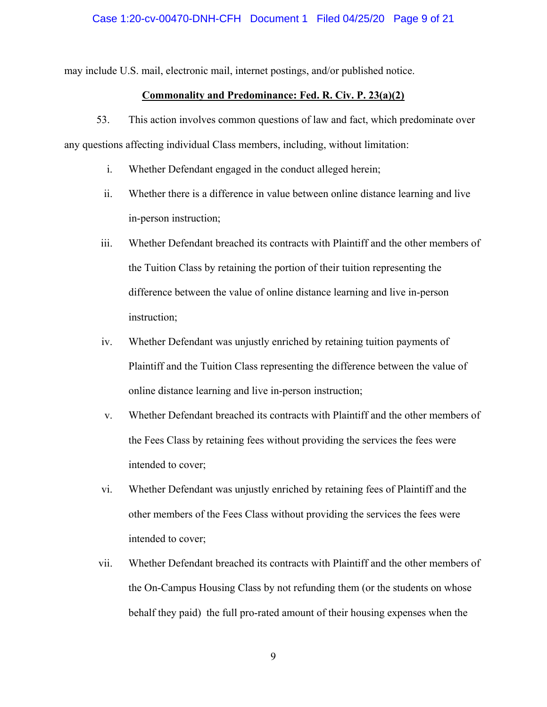may include U.S. mail, electronic mail, internet postings, and/or published notice.

### **Commonality and Predominance: Fed. R. Civ. P. 23(a)(2)**

53. This action involves common questions of law and fact, which predominate over any questions affecting individual Class members, including, without limitation:

- i. Whether Defendant engaged in the conduct alleged herein;
- ii. Whether there is a difference in value between online distance learning and live in-person instruction;
- iii. Whether Defendant breached its contracts with Plaintiff and the other members of the Tuition Class by retaining the portion of their tuition representing the difference between the value of online distance learning and live in-person instruction;
- iv. Whether Defendant was unjustly enriched by retaining tuition payments of Plaintiff and the Tuition Class representing the difference between the value of online distance learning and live in-person instruction;
- v. Whether Defendant breached its contracts with Plaintiff and the other members of the Fees Class by retaining fees without providing the services the fees were intended to cover;
- vi. Whether Defendant was unjustly enriched by retaining fees of Plaintiff and the other members of the Fees Class without providing the services the fees were intended to cover;
- vii. Whether Defendant breached its contracts with Plaintiff and the other members of the On-Campus Housing Class by not refunding them (or the students on whose behalf they paid) the full pro-rated amount of their housing expenses when the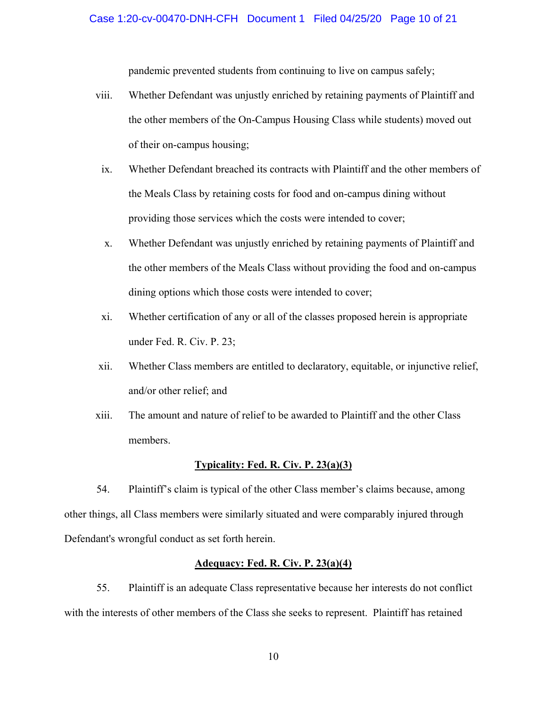pandemic prevented students from continuing to live on campus safely;

- viii. Whether Defendant was unjustly enriched by retaining payments of Plaintiff and the other members of the On-Campus Housing Class while students) moved out of their on-campus housing;
	- ix. Whether Defendant breached its contracts with Plaintiff and the other members of the Meals Class by retaining costs for food and on-campus dining without providing those services which the costs were intended to cover;
	- x. Whether Defendant was unjustly enriched by retaining payments of Plaintiff and the other members of the Meals Class without providing the food and on-campus dining options which those costs were intended to cover;
- xi. Whether certification of any or all of the classes proposed herein is appropriate under Fed. R. Civ. P. 23;
- xii. Whether Class members are entitled to declaratory, equitable, or injunctive relief, and/or other relief; and
- xiii. The amount and nature of relief to be awarded to Plaintiff and the other Class members.

#### **Typicality: Fed. R. Civ. P. 23(a)(3)**

54. Plaintiff's claim is typical of the other Class member's claims because, among other things, all Class members were similarly situated and were comparably injured through Defendant's wrongful conduct as set forth herein.

# **Adequacy: Fed. R. Civ. P. 23(a)(4)**

55. Plaintiff is an adequate Class representative because her interests do not conflict with the interests of other members of the Class she seeks to represent. Plaintiff has retained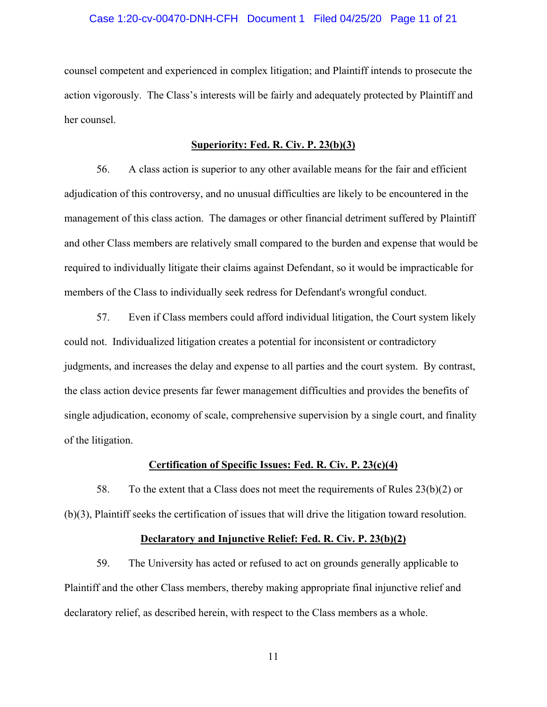#### Case 1:20-cv-00470-DNH-CFH Document 1 Filed 04/25/20 Page 11 of 21

counsel competent and experienced in complex litigation; and Plaintiff intends to prosecute the action vigorously. The Class's interests will be fairly and adequately protected by Plaintiff and her counsel.

#### **Superiority: Fed. R. Civ. P. 23(b)(3)**

56. A class action is superior to any other available means for the fair and efficient adjudication of this controversy, and no unusual difficulties are likely to be encountered in the management of this class action. The damages or other financial detriment suffered by Plaintiff and other Class members are relatively small compared to the burden and expense that would be required to individually litigate their claims against Defendant, so it would be impracticable for members of the Class to individually seek redress for Defendant's wrongful conduct.

57. Even if Class members could afford individual litigation, the Court system likely could not. Individualized litigation creates a potential for inconsistent or contradictory judgments, and increases the delay and expense to all parties and the court system. By contrast, the class action device presents far fewer management difficulties and provides the benefits of single adjudication, economy of scale, comprehensive supervision by a single court, and finality of the litigation.

#### **Certification of Specific Issues: Fed. R. Civ. P. 23(c)(4)**

58. To the extent that a Class does not meet the requirements of Rules  $23(b)(2)$  or (b)(3), Plaintiff seeks the certification of issues that will drive the litigation toward resolution.

#### **Declaratory and Injunctive Relief: Fed. R. Civ. P. 23(b)(2)**

59. The University has acted or refused to act on grounds generally applicable to Plaintiff and the other Class members, thereby making appropriate final injunctive relief and declaratory relief, as described herein, with respect to the Class members as a whole.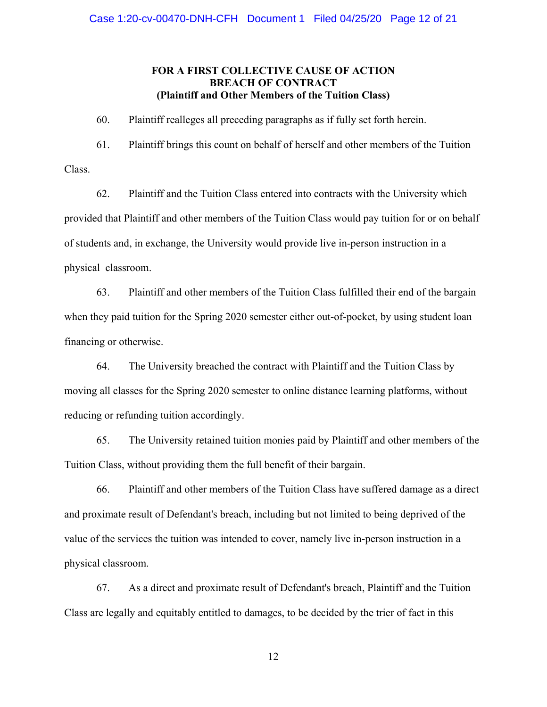# **FOR A FIRST COLLECTIVE CAUSE OF ACTION BREACH OF CONTRACT (Plaintiff and Other Members of the Tuition Class)**

60. Plaintiff realleges all preceding paragraphs as if fully set forth herein.

61. Plaintiff brings this count on behalf of herself and other members of the Tuition Class.

62. Plaintiff and the Tuition Class entered into contracts with the University which provided that Plaintiff and other members of the Tuition Class would pay tuition for or on behalf of students and, in exchange, the University would provide live in-person instruction in a physical classroom.

63. Plaintiff and other members of the Tuition Class fulfilled their end of the bargain when they paid tuition for the Spring 2020 semester either out-of-pocket, by using student loan financing or otherwise.

64. The University breached the contract with Plaintiff and the Tuition Class by moving all classes for the Spring 2020 semester to online distance learning platforms, without reducing or refunding tuition accordingly.

65. The University retained tuition monies paid by Plaintiff and other members of the Tuition Class, without providing them the full benefit of their bargain.

66. Plaintiff and other members of the Tuition Class have suffered damage as a direct and proximate result of Defendant's breach, including but not limited to being deprived of the value of the services the tuition was intended to cover, namely live in-person instruction in a physical classroom.

67. As a direct and proximate result of Defendant's breach, Plaintiff and the Tuition Class are legally and equitably entitled to damages, to be decided by the trier of fact in this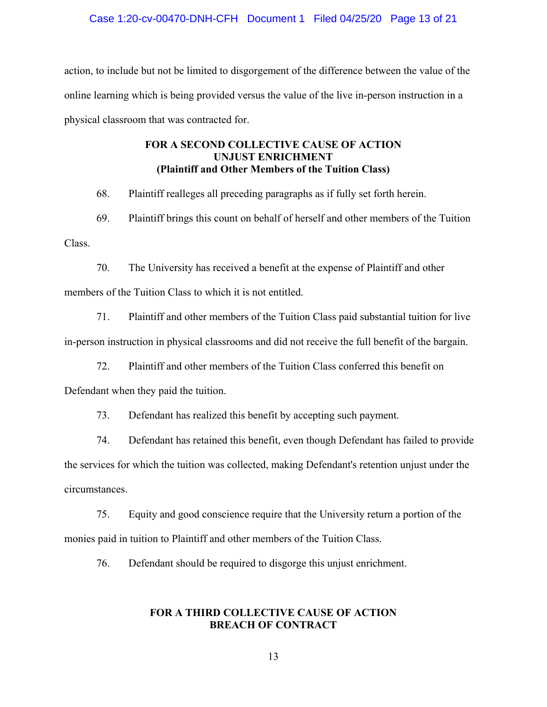#### Case 1:20-cv-00470-DNH-CFH Document 1 Filed 04/25/20 Page 13 of 21

action, to include but not be limited to disgorgement of the difference between the value of the online learning which is being provided versus the value of the live in-person instruction in a physical classroom that was contracted for.

# **FOR A SECOND COLLECTIVE CAUSE OF ACTION UNJUST ENRICHMENT (Plaintiff and Other Members of the Tuition Class)**

68. Plaintiff realleges all preceding paragraphs as if fully set forth herein.

69. Plaintiff brings this count on behalf of herself and other members of the Tuition Class.

70. The University has received a benefit at the expense of Plaintiff and other members of the Tuition Class to which it is not entitled.

71. Plaintiff and other members of the Tuition Class paid substantial tuition for live in-person instruction in physical classrooms and did not receive the full benefit of the bargain.

72. Plaintiff and other members of the Tuition Class conferred this benefit on

Defendant when they paid the tuition.

73. Defendant has realized this benefit by accepting such payment.

74. Defendant has retained this benefit, even though Defendant has failed to provide the services for which the tuition was collected, making Defendant's retention unjust under the circumstances.

75. Equity and good conscience require that the University return a portion of the monies paid in tuition to Plaintiff and other members of the Tuition Class.

76. Defendant should be required to disgorge this unjust enrichment.

### **FOR A THIRD COLLECTIVE CAUSE OF ACTION BREACH OF CONTRACT**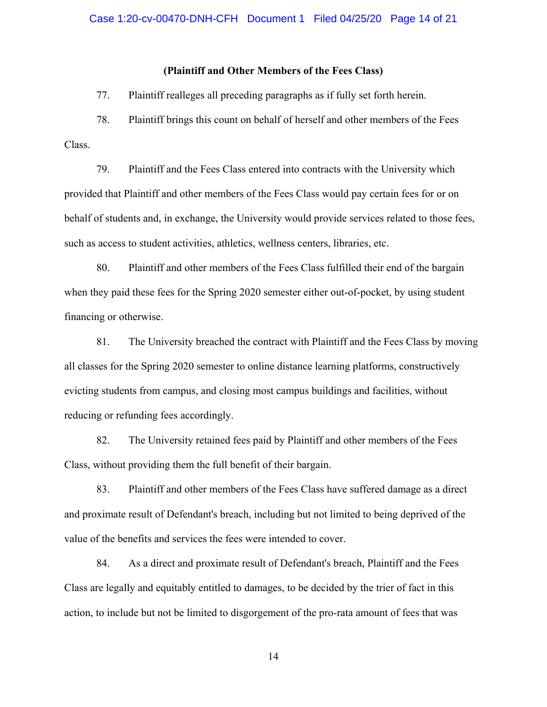#### **(Plaintiff and Other Members of the Fees Class)**

77. Plaintiff realleges all preceding paragraphs as if fully set forth herein.

78. Plaintiff brings this count on behalf of herself and other members of the Fees Class.

79. Plaintiff and the Fees Class entered into contracts with the University which provided that Plaintiff and other members of the Fees Class would pay certain fees for or on behalf of students and, in exchange, the University would provide services related to those fees, such as access to student activities, athletics, wellness centers, libraries, etc.

80. Plaintiff and other members of the Fees Class fulfilled their end of the bargain when they paid these fees for the Spring 2020 semester either out-of-pocket, by using student financing or otherwise.

81. The University breached the contract with Plaintiff and the Fees Class by moving all classes for the Spring 2020 semester to online distance learning platforms, constructively evicting students from campus, and closing most campus buildings and facilities, without reducing or refunding fees accordingly.

82. The University retained fees paid by Plaintiff and other members of the Fees Class, without providing them the full benefit of their bargain.

83. Plaintiff and other members of the Fees Class have suffered damage as a direct and proximate result of Defendant's breach, including but not limited to being deprived of the value of the benefits and services the fees were intended to cover.

84. As a direct and proximate result of Defendant's breach, Plaintiff and the Fees Class are legally and equitably entitled to damages, to be decided by the trier of fact in this action, to include but not be limited to disgorgement of the pro-rata amount of fees that was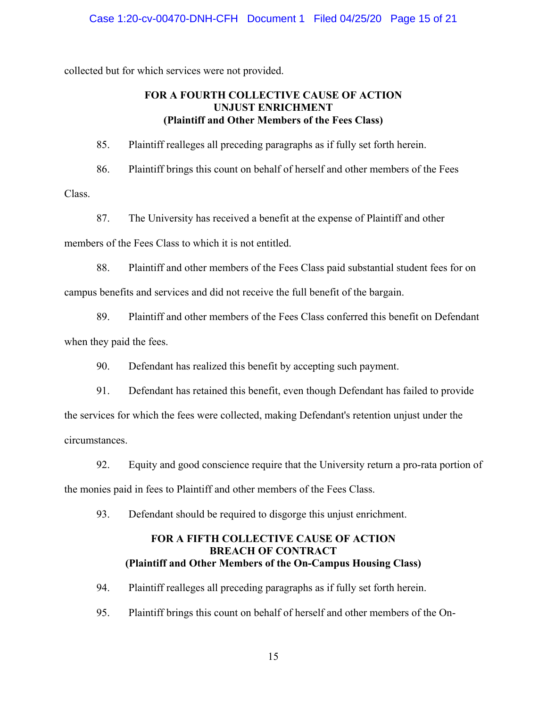collected but for which services were not provided.

# **FOR A FOURTH COLLECTIVE CAUSE OF ACTION UNJUST ENRICHMENT (Plaintiff and Other Members of the Fees Class)**

85. Plaintiff realleges all preceding paragraphs as if fully set forth herein.

86. Plaintiff brings this count on behalf of herself and other members of the Fees Class.

87. The University has received a benefit at the expense of Plaintiff and other members of the Fees Class to which it is not entitled.

88. Plaintiff and other members of the Fees Class paid substantial student fees for on campus benefits and services and did not receive the full benefit of the bargain.

89. Plaintiff and other members of the Fees Class conferred this benefit on Defendant when they paid the fees.

90. Defendant has realized this benefit by accepting such payment.

91. Defendant has retained this benefit, even though Defendant has failed to provide the services for which the fees were collected, making Defendant's retention unjust under the circumstances.

92. Equity and good conscience require that the University return a pro-rata portion of the monies paid in fees to Plaintiff and other members of the Fees Class.

93. Defendant should be required to disgorge this unjust enrichment.

# **FOR A FIFTH COLLECTIVE CAUSE OF ACTION BREACH OF CONTRACT (Plaintiff and Other Members of the On-Campus Housing Class)**

94. Plaintiff realleges all preceding paragraphs as if fully set forth herein.

95. Plaintiff brings this count on behalf of herself and other members of the On-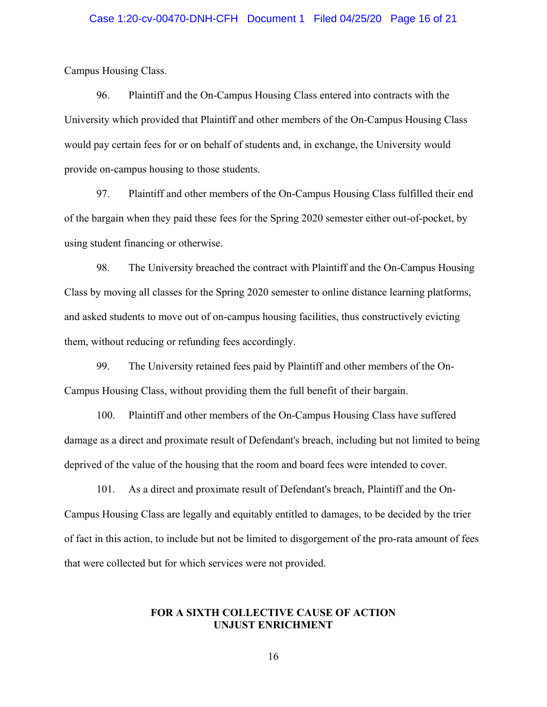# Case 1:20-cv-00470-DNH-CFH Document 1 Filed 04/25/20 Page 16 of 21

Campus Housing Class.

96. Plaintiff and the On-Campus Housing Class entered into contracts with the University which provided that Plaintiff and other members of the On-Campus Housing Class would pay certain fees for or on behalf of students and, in exchange, the University would provide on-campus housing to those students.

97. Plaintiff and other members of the On-Campus Housing Class fulfilled their end of the bargain when they paid these fees for the Spring 2020 semester either out-of-pocket, by using student financing or otherwise.

98. The University breached the contract with Plaintiff and the On-Campus Housing Class by moving all classes for the Spring 2020 semester to online distance learning platforms, and asked students to move out of on-campus housing facilities, thus constructively evicting them, without reducing or refunding fees accordingly.

99. The University retained fees paid by Plaintiff and other members of the On-Campus Housing Class, without providing them the full benefit of their bargain.

100. Plaintiff and other members of the On-Campus Housing Class have suffered damage as a direct and proximate result of Defendant's breach, including but not limited to being deprived of the value of the housing that the room and board fees were intended to cover.

101. As a direct and proximate result of Defendant's breach, Plaintiff and the On-Campus Housing Class are legally and equitably entitled to damages, to be decided by the trier of fact in this action, to include but not be limited to disgorgement of the pro-rata amount of fees that were collected but for which services were not provided.

#### **FOR A SIXTH COLLECTIVE CAUSE OF ACTION UNJUST ENRICHMENT**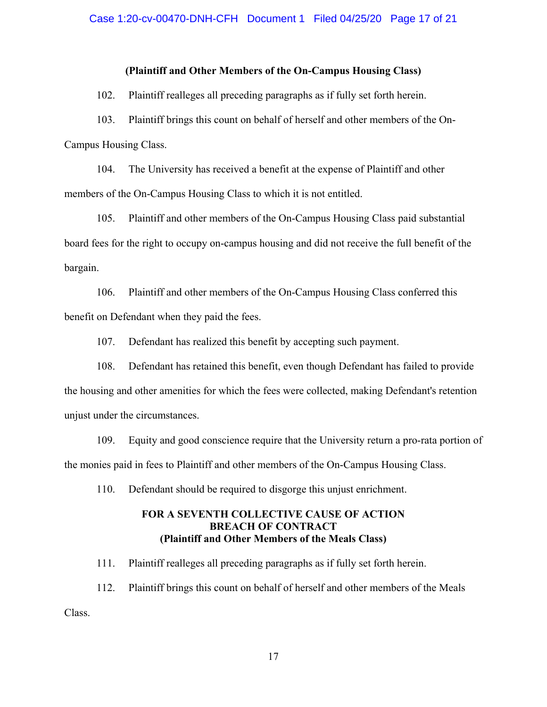#### **(Plaintiff and Other Members of the On-Campus Housing Class)**

102. Plaintiff realleges all preceding paragraphs as if fully set forth herein.

103. Plaintiff brings this count on behalf of herself and other members of the On-Campus Housing Class.

104. The University has received a benefit at the expense of Plaintiff and other members of the On-Campus Housing Class to which it is not entitled.

105. Plaintiff and other members of the On-Campus Housing Class paid substantial board fees for the right to occupy on-campus housing and did not receive the full benefit of the bargain.

106. Plaintiff and other members of the On-Campus Housing Class conferred this benefit on Defendant when they paid the fees.

107. Defendant has realized this benefit by accepting such payment.

108. Defendant has retained this benefit, even though Defendant has failed to provide the housing and other amenities for which the fees were collected, making Defendant's retention unjust under the circumstances.

109. Equity and good conscience require that the University return a pro-rata portion of the monies paid in fees to Plaintiff and other members of the On-Campus Housing Class.

110. Defendant should be required to disgorge this unjust enrichment.

# **FOR A SEVENTH COLLECTIVE CAUSE OF ACTION BREACH OF CONTRACT (Plaintiff and Other Members of the Meals Class)**

111. Plaintiff realleges all preceding paragraphs as if fully set forth herein.

112. Plaintiff brings this count on behalf of herself and other members of the Meals Class.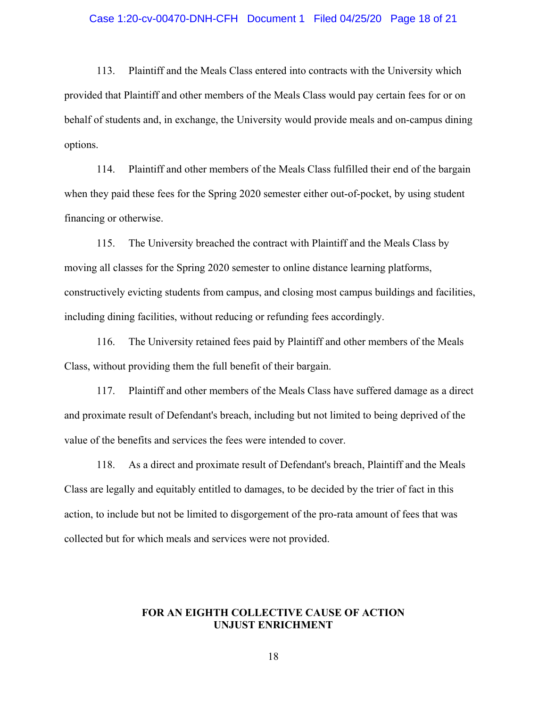#### Case 1:20-cv-00470-DNH-CFH Document 1 Filed 04/25/20 Page 18 of 21

113. Plaintiff and the Meals Class entered into contracts with the University which provided that Plaintiff and other members of the Meals Class would pay certain fees for or on behalf of students and, in exchange, the University would provide meals and on-campus dining options.

114. Plaintiff and other members of the Meals Class fulfilled their end of the bargain when they paid these fees for the Spring 2020 semester either out-of-pocket, by using student financing or otherwise.

115. The University breached the contract with Plaintiff and the Meals Class by moving all classes for the Spring 2020 semester to online distance learning platforms, constructively evicting students from campus, and closing most campus buildings and facilities, including dining facilities, without reducing or refunding fees accordingly.

116. The University retained fees paid by Plaintiff and other members of the Meals Class, without providing them the full benefit of their bargain.

117. Plaintiff and other members of the Meals Class have suffered damage as a direct and proximate result of Defendant's breach, including but not limited to being deprived of the value of the benefits and services the fees were intended to cover.

118. As a direct and proximate result of Defendant's breach, Plaintiff and the Meals Class are legally and equitably entitled to damages, to be decided by the trier of fact in this action, to include but not be limited to disgorgement of the pro-rata amount of fees that was collected but for which meals and services were not provided.

#### **FOR AN EIGHTH COLLECTIVE CAUSE OF ACTION UNJUST ENRICHMENT**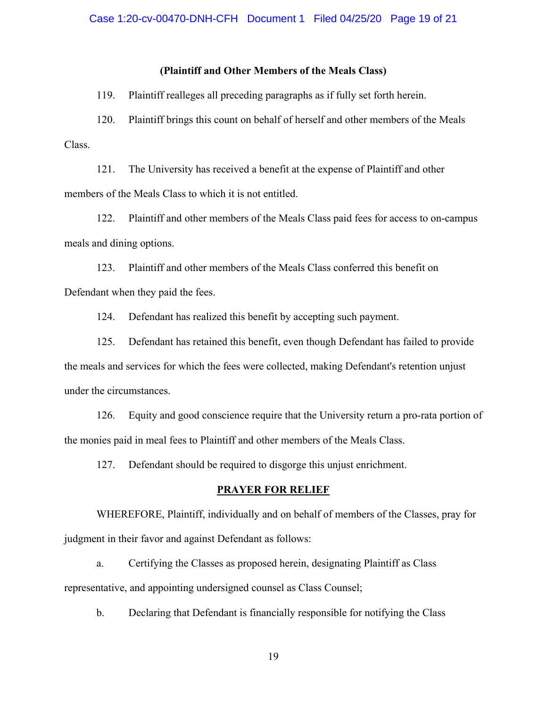#### **(Plaintiff and Other Members of the Meals Class)**

119. Plaintiff realleges all preceding paragraphs as if fully set forth herein.

120. Plaintiff brings this count on behalf of herself and other members of the Meals Class.

121. The University has received a benefit at the expense of Plaintiff and other members of the Meals Class to which it is not entitled.

122. Plaintiff and other members of the Meals Class paid fees for access to on-campus meals and dining options.

123. Plaintiff and other members of the Meals Class conferred this benefit on Defendant when they paid the fees.

124. Defendant has realized this benefit by accepting such payment.

125. Defendant has retained this benefit, even though Defendant has failed to provide the meals and services for which the fees were collected, making Defendant's retention unjust under the circumstances.

126. Equity and good conscience require that the University return a pro-rata portion of the monies paid in meal fees to Plaintiff and other members of the Meals Class.

127. Defendant should be required to disgorge this unjust enrichment.

#### **PRAYER FOR RELIEF**

WHEREFORE, Plaintiff, individually and on behalf of members of the Classes, pray for judgment in their favor and against Defendant as follows:

a. Certifying the Classes as proposed herein, designating Plaintiff as Class representative, and appointing undersigned counsel as Class Counsel;

b. Declaring that Defendant is financially responsible for notifying the Class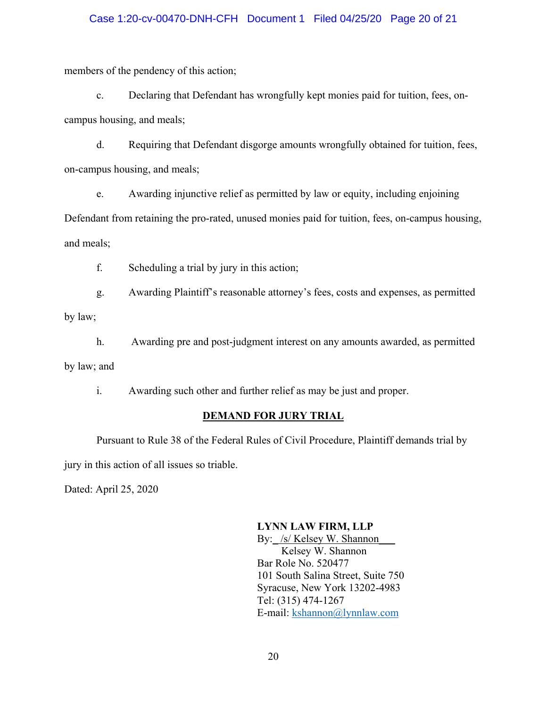# Case 1:20-cv-00470-DNH-CFH Document 1 Filed 04/25/20 Page 20 of 21

members of the pendency of this action;

c. Declaring that Defendant has wrongfully kept monies paid for tuition, fees, oncampus housing, and meals;

d. Requiring that Defendant disgorge amounts wrongfully obtained for tuition, fees, on-campus housing, and meals;

e. Awarding injunctive relief as permitted by law or equity, including enjoining Defendant from retaining the pro-rated, unused monies paid for tuition, fees, on-campus housing, and meals;

f. Scheduling a trial by jury in this action;

g. Awarding Plaintiff's reasonable attorney's fees, costs and expenses, as permitted by law;

h. Awarding pre and post-judgment interest on any amounts awarded, as permitted by law; and

i. Awarding such other and further relief as may be just and proper.

# **DEMAND FOR JURY TRIAL**

 Pursuant to Rule 38 of the Federal Rules of Civil Procedure, Plaintiff demands trial by jury in this action of all issues so triable.

Dated: April 25, 2020

# **LYNN LAW FIRM, LLP**

By: /s/ Kelsey W. Shannon Kelsey W. Shannon Bar Role No. 520477 101 South Salina Street, Suite 750 Syracuse, New York 13202-4983 Tel: (315) 474-1267 E-mail: kshannon@lynnlaw.com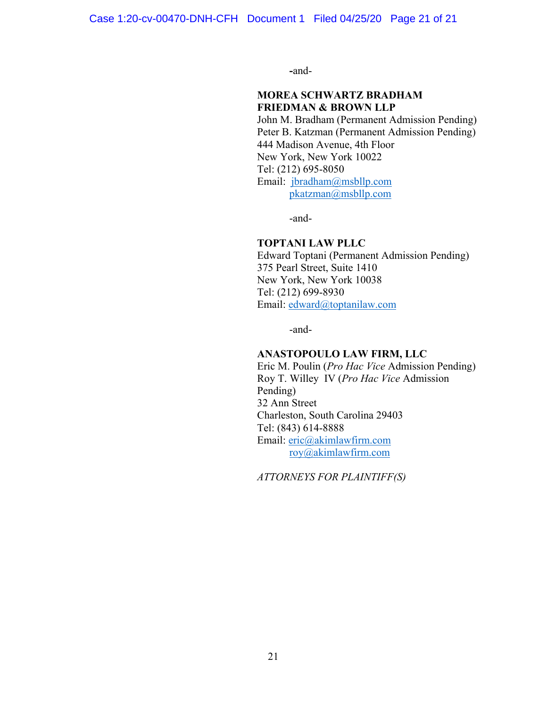**-**and-

# **MOREA SCHWARTZ BRADHAM FRIEDMAN & BROWN LLP**

John M. Bradham (Permanent Admission Pending) Peter B. Katzman (Permanent Admission Pending) 444 Madison Avenue, 4th Floor New York, New York 10022 Tel: (212) 695-8050 Email: jbradham@msbllp.com pkatzman@msbllp.com

-and-

#### **TOPTANI LAW PLLC**

Edward Toptani (Permanent Admission Pending) 375 Pearl Street, Suite 1410 New York, New York 10038 Tel: (212) 699-8930 Email: edward@toptanilaw.com

-and-

#### **ANASTOPOULO LAW FIRM, LLC**

Eric M. Poulin (*Pro Hac Vice* Admission Pending) Roy T. Willey IV (*Pro Hac Vice* Admission Pending) 32 Ann Street Charleston, South Carolina 29403 Tel: (843) 614-8888 Email: eric@akimlawfirm.com roy@akimlawfirm.com

*ATTORNEYS FOR PLAINTIFF(S)*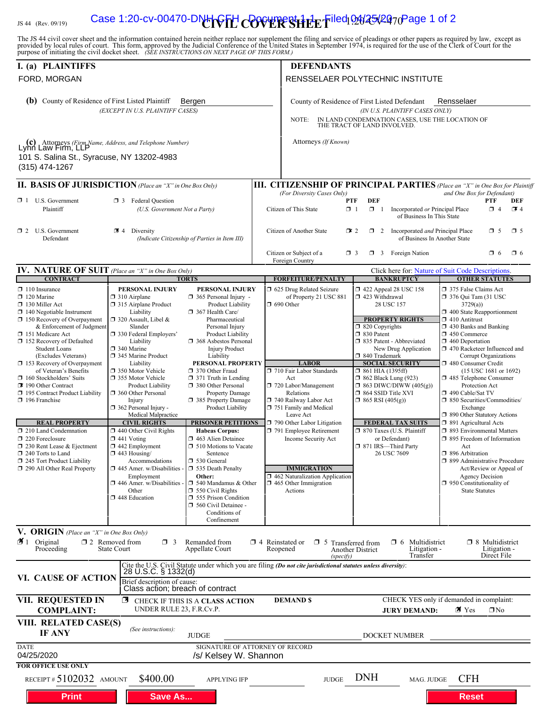# IS 44 (Rev. 09/19) **Case 1:20-cv-00470-DNH CFH COVER SHEET** led 02025/20<sub>70</sub>Page 1 of 2

The JS 44 civil cover sheet and the information contained herein neither replace nor supplement the filing and service of pleadings or other papers as required by law, except as provided by local rules of court. This form,

| I. (a) PLAINTIFFS                                                                                                                                                                                                                                                                                                                                                                                                                                                                                                                                                                                                                                                          |                                                                                                                                                                                                                                                                                                                                                                                                                                                                                                                                                                                                                                                   |                                                                                                                                                                                                                                                                                                                                                                                                                                                                                                                                                                                                                                                                                                                       |                                                                                                                                                                                          | <b>DEFENDANTS</b>                                                                                                                                                                                                                                                                                                                                                                                                                                |                                                                                                                                                                                                                                                                                                                                                                                                                                                                                                                           |                                                                                                                                                                                                                                                                                                                                                                                                                                                                                                                                                                                                                                                                                                                                                                         |
|----------------------------------------------------------------------------------------------------------------------------------------------------------------------------------------------------------------------------------------------------------------------------------------------------------------------------------------------------------------------------------------------------------------------------------------------------------------------------------------------------------------------------------------------------------------------------------------------------------------------------------------------------------------------------|---------------------------------------------------------------------------------------------------------------------------------------------------------------------------------------------------------------------------------------------------------------------------------------------------------------------------------------------------------------------------------------------------------------------------------------------------------------------------------------------------------------------------------------------------------------------------------------------------------------------------------------------------|-----------------------------------------------------------------------------------------------------------------------------------------------------------------------------------------------------------------------------------------------------------------------------------------------------------------------------------------------------------------------------------------------------------------------------------------------------------------------------------------------------------------------------------------------------------------------------------------------------------------------------------------------------------------------------------------------------------------------|------------------------------------------------------------------------------------------------------------------------------------------------------------------------------------------|--------------------------------------------------------------------------------------------------------------------------------------------------------------------------------------------------------------------------------------------------------------------------------------------------------------------------------------------------------------------------------------------------------------------------------------------------|---------------------------------------------------------------------------------------------------------------------------------------------------------------------------------------------------------------------------------------------------------------------------------------------------------------------------------------------------------------------------------------------------------------------------------------------------------------------------------------------------------------------------|-------------------------------------------------------------------------------------------------------------------------------------------------------------------------------------------------------------------------------------------------------------------------------------------------------------------------------------------------------------------------------------------------------------------------------------------------------------------------------------------------------------------------------------------------------------------------------------------------------------------------------------------------------------------------------------------------------------------------------------------------------------------------|
| FORD, MORGAN                                                                                                                                                                                                                                                                                                                                                                                                                                                                                                                                                                                                                                                               |                                                                                                                                                                                                                                                                                                                                                                                                                                                                                                                                                                                                                                                   |                                                                                                                                                                                                                                                                                                                                                                                                                                                                                                                                                                                                                                                                                                                       | RENSSELAER POLYTECHNIC INSTITUTE                                                                                                                                                         |                                                                                                                                                                                                                                                                                                                                                                                                                                                  |                                                                                                                                                                                                                                                                                                                                                                                                                                                                                                                           |                                                                                                                                                                                                                                                                                                                                                                                                                                                                                                                                                                                                                                                                                                                                                                         |
| (b) County of Residence of First Listed Plaintiff<br>Bergen<br>(EXCEPT IN U.S. PLAINTIFF CASES)                                                                                                                                                                                                                                                                                                                                                                                                                                                                                                                                                                            |                                                                                                                                                                                                                                                                                                                                                                                                                                                                                                                                                                                                                                                   |                                                                                                                                                                                                                                                                                                                                                                                                                                                                                                                                                                                                                                                                                                                       | Rensselaer<br>County of Residence of First Listed Defendant<br>(IN U.S. PLAINTIFF CASES ONLY)<br>IN LAND CONDEMNATION CASES, USE THE LOCATION OF<br>NOTE:<br>THE TRACT OF LAND INVOLVED. |                                                                                                                                                                                                                                                                                                                                                                                                                                                  |                                                                                                                                                                                                                                                                                                                                                                                                                                                                                                                           |                                                                                                                                                                                                                                                                                                                                                                                                                                                                                                                                                                                                                                                                                                                                                                         |
| (c) Attorneys (Firm Name, Address, and Telephone Number)<br>Lynn Law Firm, LLP<br>101 S. Salina St., Syracuse, NY 13202-4983<br>(315) 474-1267                                                                                                                                                                                                                                                                                                                                                                                                                                                                                                                             |                                                                                                                                                                                                                                                                                                                                                                                                                                                                                                                                                                                                                                                   |                                                                                                                                                                                                                                                                                                                                                                                                                                                                                                                                                                                                                                                                                                                       |                                                                                                                                                                                          | Attorneys (If Known)                                                                                                                                                                                                                                                                                                                                                                                                                             |                                                                                                                                                                                                                                                                                                                                                                                                                                                                                                                           |                                                                                                                                                                                                                                                                                                                                                                                                                                                                                                                                                                                                                                                                                                                                                                         |
| <b>II. BASIS OF JURISDICTION</b> (Place an "X" in One Box Only)                                                                                                                                                                                                                                                                                                                                                                                                                                                                                                                                                                                                            |                                                                                                                                                                                                                                                                                                                                                                                                                                                                                                                                                                                                                                                   |                                                                                                                                                                                                                                                                                                                                                                                                                                                                                                                                                                                                                                                                                                                       |                                                                                                                                                                                          |                                                                                                                                                                                                                                                                                                                                                                                                                                                  |                                                                                                                                                                                                                                                                                                                                                                                                                                                                                                                           | <b>III. CITIZENSHIP OF PRINCIPAL PARTIES</b> (Place an "X" in One Box for Plaintiff                                                                                                                                                                                                                                                                                                                                                                                                                                                                                                                                                                                                                                                                                     |
| $\Box$ 1 U.S. Government<br>Plaintiff                                                                                                                                                                                                                                                                                                                                                                                                                                                                                                                                                                                                                                      | <b>3</b> Federal Question<br>(U.S. Government Not a Party)                                                                                                                                                                                                                                                                                                                                                                                                                                                                                                                                                                                        |                                                                                                                                                                                                                                                                                                                                                                                                                                                                                                                                                                                                                                                                                                                       |                                                                                                                                                                                          | (For Diversity Cases Only)<br>Citizen of This State                                                                                                                                                                                                                                                                                                                                                                                              | <b>DEF</b><br>PTF<br>$\Box$ 1<br>$\Box$ 1<br>Incorporated or Principal Place<br>of Business In This State                                                                                                                                                                                                                                                                                                                                                                                                                 | and One Box for Defendant)<br>PTF<br>DEF<br>$\Box$ 4<br>$\mathbb{Z}$ 4                                                                                                                                                                                                                                                                                                                                                                                                                                                                                                                                                                                                                                                                                                  |
| $\Box$ 2 U.S. Government<br>Defendant                                                                                                                                                                                                                                                                                                                                                                                                                                                                                                                                                                                                                                      | 4 Diversity                                                                                                                                                                                                                                                                                                                                                                                                                                                                                                                                                                                                                                       | (Indicate Citizenship of Parties in Item III)                                                                                                                                                                                                                                                                                                                                                                                                                                                                                                                                                                                                                                                                         |                                                                                                                                                                                          | Citizen of Another State                                                                                                                                                                                                                                                                                                                                                                                                                         | $\Box$ 2 Incorporated <i>and</i> Principal Place<br>$\mathbf{I}$ 2                                                                                                                                                                                                                                                                                                                                                                                                                                                        | $\Box$ 5<br>$\square$ 5<br>of Business In Another State                                                                                                                                                                                                                                                                                                                                                                                                                                                                                                                                                                                                                                                                                                                 |
|                                                                                                                                                                                                                                                                                                                                                                                                                                                                                                                                                                                                                                                                            |                                                                                                                                                                                                                                                                                                                                                                                                                                                                                                                                                                                                                                                   |                                                                                                                                                                                                                                                                                                                                                                                                                                                                                                                                                                                                                                                                                                                       |                                                                                                                                                                                          | Citizen or Subject of a<br>Foreign Country                                                                                                                                                                                                                                                                                                                                                                                                       | $\Box$ 3 Foreign Nation<br>$\Box$ 3                                                                                                                                                                                                                                                                                                                                                                                                                                                                                       | $\Box$ 6<br>$\Box$ 6                                                                                                                                                                                                                                                                                                                                                                                                                                                                                                                                                                                                                                                                                                                                                    |
| IV. NATURE OF SUIT (Place an "X" in One Box Only)                                                                                                                                                                                                                                                                                                                                                                                                                                                                                                                                                                                                                          |                                                                                                                                                                                                                                                                                                                                                                                                                                                                                                                                                                                                                                                   |                                                                                                                                                                                                                                                                                                                                                                                                                                                                                                                                                                                                                                                                                                                       |                                                                                                                                                                                          |                                                                                                                                                                                                                                                                                                                                                                                                                                                  |                                                                                                                                                                                                                                                                                                                                                                                                                                                                                                                           | Click here for: Nature of Suit Code Descriptions.                                                                                                                                                                                                                                                                                                                                                                                                                                                                                                                                                                                                                                                                                                                       |
| <b>CONTRACT</b><br>$\Box$ 110 Insurance<br>$\Box$ 120 Marine<br>130 Miller Act<br>$\Box$ 140 Negotiable Instrument<br>$\Box$ 150 Recovery of Overpayment<br>& Enforcement of Judgment<br>151 Medicare Act<br>$\Box$ 152 Recovery of Defaulted<br><b>Student Loans</b><br>(Excludes Veterans)<br>$\Box$ 153 Recovery of Overpayment<br>of Veteran's Benefits<br>160 Stockholders' Suits<br>190 Other Contract<br>□ 195 Contract Product Liability<br>$\Box$ 196 Franchise<br><b>REAL PROPERTY</b><br>210 Land Condemnation<br>220 Foreclosure<br>$\Box$ 230 Rent Lease & Ejectment<br>$\Box$ 240 Torts to Land<br>245 Tort Product Liability<br>290 All Other Real Property | PERSONAL INJURY<br>$\Box$ 310 Airplane<br>□ 315 Airplane Product<br>Liability<br>□ 320 Assault, Libel &<br>Slander<br>□ 330 Federal Employers'<br>Liability<br>$\Box$ 340 Marine<br>345 Marine Product<br>Liability<br>□ 350 Motor Vehicle<br>□ 355 Motor Vehicle<br>Product Liability<br><b>360 Other Personal</b><br>Injury<br>$\Box$ 362 Personal Injury -<br>Medical Malpractice<br><b>CIVIL RIGHTS</b><br>$\Box$ 440 Other Civil Rights<br>$\Box$ 441 Voting<br>$\Box$ 442 Employment<br>$\Box$ 443 Housing/<br>Accommodations<br>$\square$ 445 Amer. w/Disabilities -<br>Employment<br>446 Amer. w/Disabilities -<br>Other<br>448 Education | <b>TORTS</b><br>PERSONAL INJURY<br>$\Box$ 365 Personal Injury -<br>Product Liability<br>$\Box$ 367 Health Care/<br>Pharmaceutical<br>Personal Injury<br>Product Liability<br>□ 368 Asbestos Personal<br><b>Injury Product</b><br>Liability<br>PERSONAL PROPERTY<br>□ 370 Other Fraud<br>$\Box$ 371 Truth in Lending<br>380 Other Personal<br>Property Damage<br>385 Property Damage<br>Product Liability<br><b>PRISONER PETITIONS</b><br><b>Habeas Corpus:</b><br>463 Alien Detainee<br>$\Box$ 510 Motions to Vacate<br>Sentence<br>□ 530 General<br>535 Death Penalty<br>Other:<br>□ 540 Mandamus & Other<br>$\Box$ 550 Civil Rights<br>555 Prison Condition<br>560 Civil Detainee -<br>Conditions of<br>Confinement |                                                                                                                                                                                          | <b>FORFEITURE/PENALTY</b><br>5 625 Drug Related Seizure<br>of Property 21 USC 881<br>$\Box$ 690 Other<br><b>LABOR</b><br>710 Fair Labor Standards<br>Act<br>720 Labor/Management<br>Relations<br>740 Railway Labor Act<br>751 Family and Medical<br>Leave Act<br>790 Other Labor Litigation<br>791 Employee Retirement<br>Income Security Act<br><b>IMMIGRATION</b><br>462 Naturalization Application<br>$\Box$ 465 Other Immigration<br>Actions | <b>BANKRUPTCY</b><br>158 122 Appeal 28 USC 158<br>423 Withdrawal<br>28 USC 157<br><b>PROPERTY RIGHTS</b><br>$\Box$ 820 Copyrights<br>□ 830 Patent<br>335 Patent - Abbreviated<br>New Drug Application<br>□ 840 Trademark<br><b>SOCIAL SECURITY</b><br>$\Box$ 861 HIA (1395ff)<br>$\Box$ 862 Black Lung (923)<br>$\Box$ 863 DIWC/DIWW (405(g))<br>$\Box$ 864 SSID Title XVI<br>$\Box$ 865 RSI (405(g))<br><b>FEDERAL TAX SUITS</b><br>□ 870 Taxes (U.S. Plaintiff<br>or Defendant)<br>□ 871 IRS-Third Party<br>26 USC 7609 | <b>OTHER STATUTES</b><br>375 False Claims Act<br>$\Box$ 376 Qui Tam (31 USC<br>3729(a)<br>$\Box$ 400 State Reapportionment<br>$\Box$ 410 Antitrust<br>$\Box$ 430 Banks and Banking<br>$\Box$ 450 Commerce<br>$\Box$ 460 Deportation<br>□ 470 Racketeer Influenced and<br>Corrupt Organizations<br>480 Consumer Credit<br>(15 USC 1681 or 1692)<br>485 Telephone Consumer<br>Protection Act<br>□ 490 Cable/Sat TV<br>□ 850 Securities/Commodities/<br>Exchange<br>□ 890 Other Statutory Actions<br>□ 891 Agricultural Acts<br>□ 893 Environmental Matters<br>□ 895 Freedom of Information<br>Act<br>□ 896 Arbitration<br>□ 899 Administrative Procedure<br>Act/Review or Appeal of<br><b>Agency Decision</b><br>$\Box$ 950 Constitutionality of<br><b>State Statutes</b> |
| V. ORIGIN (Place an "X" in One Box Only)<br>$\blacksquare$ 1 Original<br>Proceeding                                                                                                                                                                                                                                                                                                                                                                                                                                                                                                                                                                                        | $\square$ 2 Removed from<br>$\Box$ 3<br>State Court                                                                                                                                                                                                                                                                                                                                                                                                                                                                                                                                                                                               | Remanded from<br>Appellate Court                                                                                                                                                                                                                                                                                                                                                                                                                                                                                                                                                                                                                                                                                      | $\Box$ 4 Reinstated or<br>Reopened                                                                                                                                                       | $\Box$ 5<br>(specify)                                                                                                                                                                                                                                                                                                                                                                                                                            | Multidistrict<br>□ 6<br>Transferred from<br>Litigation -<br><b>Another District</b><br>Transfer                                                                                                                                                                                                                                                                                                                                                                                                                           | $\Box$ 8 Multidistrict<br>Litigation -<br>Direct File                                                                                                                                                                                                                                                                                                                                                                                                                                                                                                                                                                                                                                                                                                                   |
| VI. CAUSE OF ACTION                                                                                                                                                                                                                                                                                                                                                                                                                                                                                                                                                                                                                                                        | 28 U.S.C. § 1332(d)<br>Brief description of cause:<br>Class action; breach of contract                                                                                                                                                                                                                                                                                                                                                                                                                                                                                                                                                            | Cite the U.S. Civil Statute under which you are filing (Do not cite jurisdictional statutes unless diversity):                                                                                                                                                                                                                                                                                                                                                                                                                                                                                                                                                                                                        |                                                                                                                                                                                          |                                                                                                                                                                                                                                                                                                                                                                                                                                                  |                                                                                                                                                                                                                                                                                                                                                                                                                                                                                                                           |                                                                                                                                                                                                                                                                                                                                                                                                                                                                                                                                                                                                                                                                                                                                                                         |
| <b>VII. REQUESTED IN</b><br><b>COMPLAINT:</b>                                                                                                                                                                                                                                                                                                                                                                                                                                                                                                                                                                                                                              | $\overline{\mathbf{X}}$<br>UNDER RULE 23, F.R.Cv.P.                                                                                                                                                                                                                                                                                                                                                                                                                                                                                                                                                                                               | CHECK IF THIS IS A CLASS ACTION                                                                                                                                                                                                                                                                                                                                                                                                                                                                                                                                                                                                                                                                                       |                                                                                                                                                                                          | <b>DEMAND \$</b>                                                                                                                                                                                                                                                                                                                                                                                                                                 | <b>JURY DEMAND:</b>                                                                                                                                                                                                                                                                                                                                                                                                                                                                                                       | CHECK YES only if demanded in complaint:<br>⊠ Yes<br>$\Box$ No                                                                                                                                                                                                                                                                                                                                                                                                                                                                                                                                                                                                                                                                                                          |
| VIII. RELATED CASE(S)<br>IF ANY                                                                                                                                                                                                                                                                                                                                                                                                                                                                                                                                                                                                                                            | (See instructions):                                                                                                                                                                                                                                                                                                                                                                                                                                                                                                                                                                                                                               | <b>JUDGE</b>                                                                                                                                                                                                                                                                                                                                                                                                                                                                                                                                                                                                                                                                                                          |                                                                                                                                                                                          |                                                                                                                                                                                                                                                                                                                                                                                                                                                  | DOCKET NUMBER                                                                                                                                                                                                                                                                                                                                                                                                                                                                                                             |                                                                                                                                                                                                                                                                                                                                                                                                                                                                                                                                                                                                                                                                                                                                                                         |
| SIGNATURE OF ATTORNEY OF RECORD<br><b>DATE</b><br>04/25/2020<br>/s/ Kelsey W. Shannon                                                                                                                                                                                                                                                                                                                                                                                                                                                                                                                                                                                      |                                                                                                                                                                                                                                                                                                                                                                                                                                                                                                                                                                                                                                                   |                                                                                                                                                                                                                                                                                                                                                                                                                                                                                                                                                                                                                                                                                                                       |                                                                                                                                                                                          |                                                                                                                                                                                                                                                                                                                                                                                                                                                  |                                                                                                                                                                                                                                                                                                                                                                                                                                                                                                                           |                                                                                                                                                                                                                                                                                                                                                                                                                                                                                                                                                                                                                                                                                                                                                                         |
| <b>FOR OFFICE USE ONLY</b><br>RECEIPT # $5102032$ AMOUNT<br><b>Print</b>                                                                                                                                                                                                                                                                                                                                                                                                                                                                                                                                                                                                   | \$400.00<br><b>Save As</b>                                                                                                                                                                                                                                                                                                                                                                                                                                                                                                                                                                                                                        | <b>APPLYING IFP</b>                                                                                                                                                                                                                                                                                                                                                                                                                                                                                                                                                                                                                                                                                                   |                                                                                                                                                                                          | <b>JUDGE</b>                                                                                                                                                                                                                                                                                                                                                                                                                                     | <b>DNH</b><br>MAG. JUDGE                                                                                                                                                                                                                                                                                                                                                                                                                                                                                                  | <b>CFH</b><br><b>Reset</b>                                                                                                                                                                                                                                                                                                                                                                                                                                                                                                                                                                                                                                                                                                                                              |